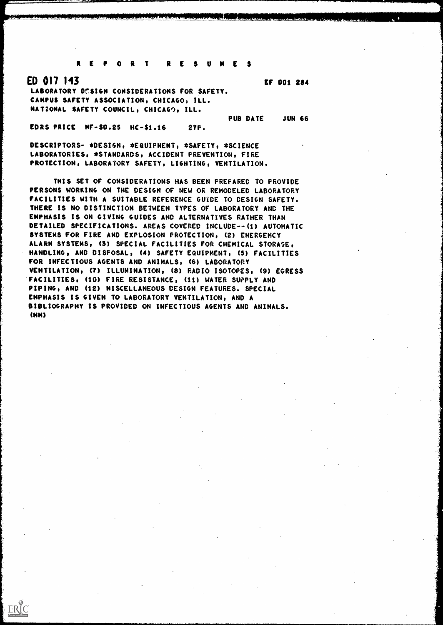REPORT RESUMES

| ED 017 143                                   |                 | EF 001 284 |        |
|----------------------------------------------|-----------------|------------|--------|
| LABORATORY DESIGN CONSIDERATIONS FOR SAFETY. |                 |            |        |
| CAMPUS SAFETY ASSOCIATION, CHICAGO, ILL.     |                 |            |        |
| NATIONAL SAFETY COUNCIL, CHICAGO, ILL.       |                 |            |        |
|                                              | <b>PUB DATE</b> |            | JUN 66 |

EDRS PRICE MF-\$0.25 HC-31.16 27P.

ERIC

DESCRIPTORS- \*DESIGN, \*EQUIPMENT, \*SAFETY, \*SCIENCE LABORATORIES, \*STANDARDS, ACCIDENT PREVENTION, FIRE PROTECTION, LABORATORY SAFETY, LIGHTING, VENTILATION,

THIS SET OF CONSIDERATIONS HAS BEEN PREPARED TO PROVIDE PERSONS WORKING ON THE DESIGN OF NEW OR REMODELED LABORATORY FACILITIES WITH A SUITABLE REFERENCE GUIDE TO DESIGN SAFETY. THERE IS NO DISTINCTION BETWEEN TYPES OF LABORATORY AND THE EMPHASIS IS ON GIVING GUIDES AND ALTERNATIVES RATHER THAN DETAILED SPECIFICATIONS. AREAS COVERED INCLUDE--(1) AUTOMATIC SYSTEMS FOR FIRE AND EXPLOSION PROTECTION, (2) EMERGENCY ALARM SYSTEMS, (3) SPECIAL FACILITIES FOR CHEMICAL STORAGE, HANDLING, AND DISPOSAL, (4) SAFETY EQUIPMENT, (5) FACILITIES FOR INFECTIOUS AGENTS AND ANIMALS, (6) LABORATORY VENTILATION, (T) ILLUMINATION, (8) RADIO ISOTOPES, (9) EGRESS FACILITIES, (10) FIRE RESISTANCE, (11) WATER SUPPLY AND PIPING, AND (12) MISCELLANEOUS DESIGN FEATURES. SPECIAL EMPHASIS IS GIVEN TO LABORATORY VENTILATION, AND A BIBLIOGRAPHY IS PROVIDED ON INFECTIOUS AGENTS AND ANIMALS. (MM)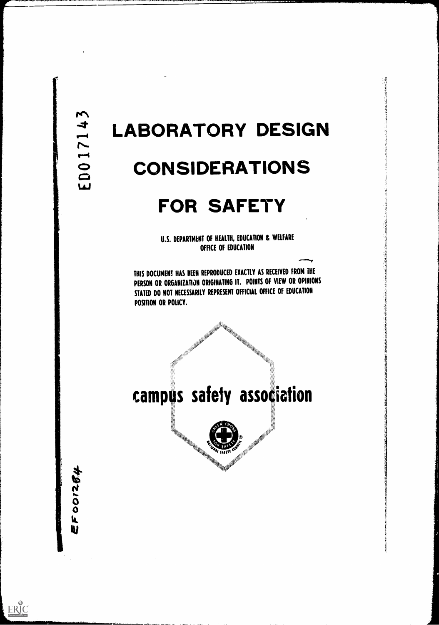re\ LLJ

# LABORATORY DESIGN

# CONSIDERATIONS

# FOR SAFETY

U.S. DEPARTMENT OF HEALTH, EDUCATION & WELFARE OFFICE OF EDUCATION

THIS DOCUMENT HAS BEEN REPRODUCED EXACTLY AS RECEIVED FROM IHE PERSON OR ORGANIZATION ORIGINATING IT. POINTS OF VIEW OR OPINIONS STATED DO NOT NECESSARILY REPRESENT OFFICIAL OFFICE OF EDUCATION POSITION OR POLICY.

campus safety association ANGEL AND RESIDENCE AND

001284 EF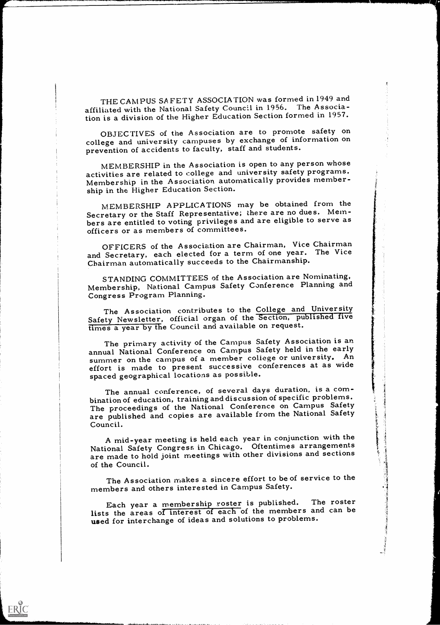THE CAMPUS SAFETY ASSOCIATION was formed in 1949 and affiliated with the National Safety Council in 1956. The Association is a division of the Higher Education Section formed in 1957.

OBJECTIVES of the Association are to promote safety on college and university campuses by exchange of information on prevention of accidents to faculty, staff and students.

MEMBERSHIP in the Association is open to any person whose activities are related to college and university safety programs. Membership in the Association automatically provides membership in the Higher Education Section.

MEMBERSHIP APPLICATIONS may be obtained from the Secretary or the Staff Representative; there are no dues. Members are entitled to voting privileges and are eligible to serve as officers or as members of committees.

OFFICERS of the Association are Chairman, Vice Chairman and Secretary, each elected for a term of one year. The Vice Chairman automatically succeeds to the Chairmanship.

STANDING COMMITTEES of the Association are Nominating, Membership, National Campus Safety Conference Planning and Congress Program Planning.

The Association contributes to the College and University Safety Newsletter, official organ of the Section, published five times a year by the Council and available on request.

The primary activity of the Campus Safety Association is an annual National Conference on Campus Safety held in the early summer on the campus of a member college or university. An effort is made to present successive conferences at as wide spaced geographical locations as possible.

The annual conference, of several days duration, is a combination of education, training and discussion of specific problems. The proceedings of the National Conference on Campus Safety are published and copies are available from the National Safety Council.

A mid-year meeting is held each year in conjunction with the National Safety Congress in Chicago. Oftentimes arrangements are made to hold joint meetings with other divisions and sections of the Council.

The Association makes a sincere effort to be of service to the members and others interested in Campus Safety.

Each year a membership roster is published. The roster lists the areas of interest of each of the members and can be used for interchange of ideas and solutions to problems.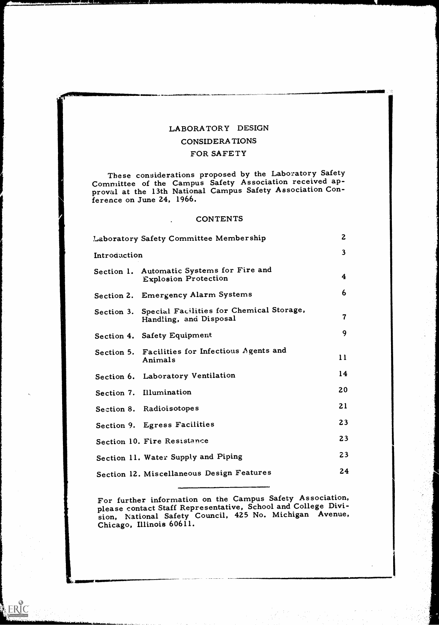# LABORATORY DESIGN

provided with a minimum die of the communication

# CONSIDERATIONS

## FOR SAFETY

These considerations proposed by the Laboratory Safety Committee of the Campus Safety Association received approval at the 13th National Campus Safety Association Conference on June 24, 1966.

#### **CONTENTS**

|              | Laboratory Safety Committee Membership                                        | $\mathbf{z}$            |
|--------------|-------------------------------------------------------------------------------|-------------------------|
| Introduction |                                                                               | $\overline{\mathbf{3}}$ |
|              | Section 1. Automatic Systems for Fire and<br>Explosion Protection             | 4                       |
|              | Section 2. Emergency Alarm Systems                                            | 6                       |
|              | Section 3. Special Facilities for Chemical Storage,<br>Handling, and Disposal | $\overline{\mathbf{z}}$ |
|              | Section 4. Safety Equipment                                                   | 9                       |
|              | Section 5. Facilities for Infectious Agents and<br>Animals                    | 11                      |
|              | Section 6. Laboratory Ventilation                                             | 14                      |
|              | Section 7. Illumination                                                       | 20                      |
|              | Section 8. Radioisotopes                                                      | 21                      |
|              | Section 9. Egress Facilities                                                  | 23                      |
|              | Section 10. Fire Resistance                                                   | 23                      |
|              | Section 11. Water Supply and Piping                                           | 23                      |
|              | Section 12. Miscellaneous Design Features                                     | 24                      |
|              |                                                                               |                         |

For further information on the Campus Safety Association, please contact Staff Representative, School and College Division, National Safety Council, 425 No. Michigan Avenue, Chicago, Illinois 60611.

wilinnarahoraava.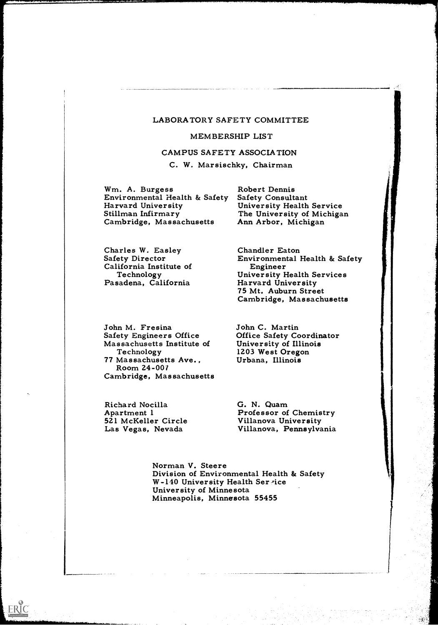#### LABORATORY SAFETY COMMITTEE

#### MEMBERSHIP LIST

#### CAMPUS SAFETY ASSOCIATION

C. W. Marsischky, Chairman

Wm. A. Burgess Robert Dennis<br>
Environmental Health & Safety Safety Consultant<br>
Harvard University Stillman Infirmary The University of Michigan<br>
Cambridge, Massachusetts Ann Arbor, Michigan

Robert Dennis University Health Service

Charles W. Easley Safety Director California Institute of Pasadena, California

Chandler Eaton<br>Environmental Health & Safety Engineer<br>University Health Services<br>Harvard University 75 Mt. Auburn Street Cambridge, Massachusetts

John M. Fresina<br>Safety Engineers Office Massachusetts Institute of University of Illinois<br>Technology 1203 West Oregon 77 Massachusetts Ave., Room 24-007 Cambridge, Massachusetts

John C. Martin Office Safety Coordinator<br>University of Illinois<br>1203 West Oregon<br>Urbana, Illinois

Richard Nocilla Apartment 1 521 Mc Keller Circle Las Vegas, Nevada

ERIC

G. N. Quam Villanova University<br>Villanova, Pennsylvania

Norman V. Steere Division of Environmental Health & Safety<br>W-140 University Health Ser rice<br>University of Minnesota<br>Minneapolis, Minnesota 55455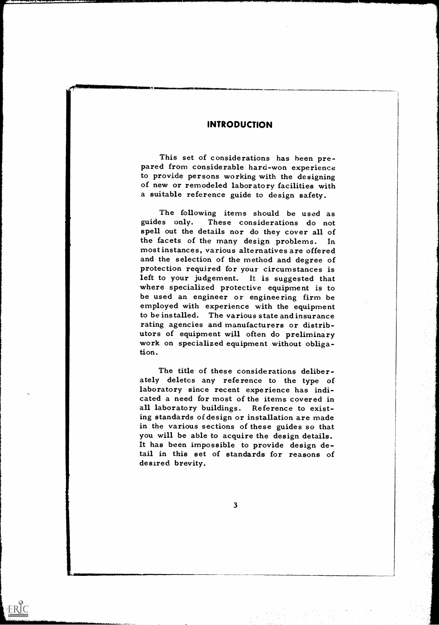### INTRODUCTION

This set of considerations has been pre-<br>pared from considerable hard-won experience<br>to provide persons working with the designing of new or remodeled laboratory facilities with a suitable reference guide to design safety.

The following items should be used as<br>guides only. These considerations do not These considerations do not spell out the details nor do they cover all of the facets of the many design problems. In most instances, various alternatives are offered and the selection of the method and degree of protection required for your circumstances is left to your judgement. It is suggested that where specialized protective equipment is to be used an engineer or engineering firm be employed with experience with the equipment to be installed. The various state and insurance<br>rating agencies and manufacturers or distributors of equipment will often do preliminary work on specialized equipment without obligation.

The title of these considerations deliberately deletes any reference to the type of laboratory since recent experience has indi- cated a need for most of the items covered in all laboratory buildings. Reference to existing standards of design or installation are made in the various sections of these guides so that you will be able to acquire the design details. It has been impossible to provide design detail in this set of standards for reasons of desired brevity.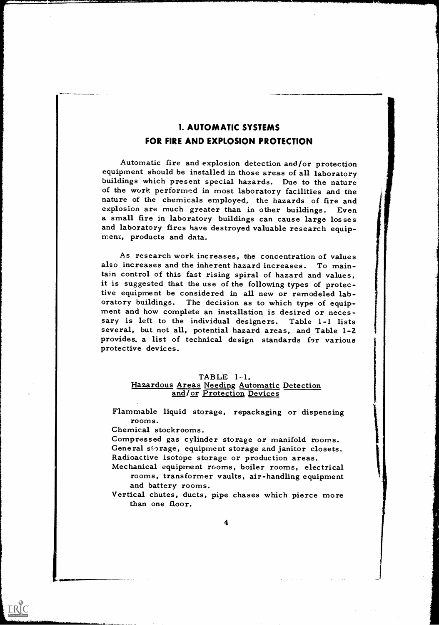# 1. AUTOMATIC SYSTEMS FOR FIRE AND EXPLOSION PROTECTION

Automatic fire and explosion detection and/or protection equipment should be installed in those areas of all laboratory buildings which present special hazards. Due to the nature of the work performed in most laboratory facilities and the nature of the chemicals employed, the hazards of fire and explosion are much greater than in other buildings. Even a small fire in laboratory buildings can cause large losses and laboratory fires have destroyed valuable research equip- menc, products and data.

As research work increases, the concentration of values also increases and the inherent hazard increases. To main-<br>tain control of this fast rising spiral of hazard and values. it is suggested that the use of the following types of protective equipment be considered in all new or remodeled lab-<br>oratory buildings. The decision as to which type of equipment and how complete an installation is desired or necessary is left to the individual designers. Table 1-1 lists several, but not all, potential hazard areas, and Table 1-2 provides, a list of technical design standards for various protective devices.

# TABLE 1.1.

## Hazardous Areas Needing Automatic Detection and/or Protection Devices

Flammable liquid storage, repackaging or dispensing rooms.

Chemical stockrooms.

ERIC

Compressed gas cylinder storage or manifold rooms.<br>General storage, equipment storage and janitor closets.<br>Radioactive isotope storage or production areas.<br>Mechanical equipment rooms, boiler rooms, electrical<br>rooms, transf

than one floor.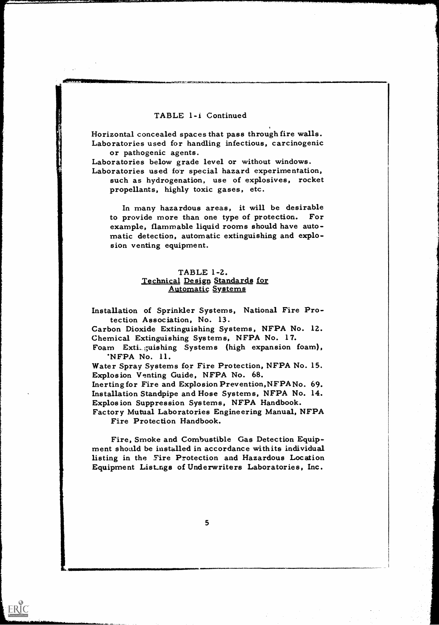#### TABLE 1-i Continued

Horizontal concealed spaces that pass through fire walls.<br>Laboratories used for handling infectious, carcinogenic<br>or pathogenic agents.<br>Laboratories below grade level or without windows.<br>Laboratories used for special hazar propellants, highly toxic gases, etc.

In many hazardous areas, it will be desirable to provide more than one type of protection. For example, flammable liquid rooms should have automatic detection, automatic extinguishing and explosion venting equipment.

# TABLE 1-2. Technical Design Standards for Automatic Systems

Installation of Sprinkler Systems, National Fire Protection Association, No. 13.

Carbon Dioxide Extinguishing Systems, NFPA No. 12. Chemical Extinguishing Systems, NFPA No. 17.

Foam Exti. guishing Systems (high expansion foam), `NFPA No. 11.

Water Spray Systems for Fire Protection, NFPA No. 15. Explosion Venting Guide, NFPA No. 68.

Inerting for Fire and Explosion Prevention,NFPANo. 69. Installation Standpipe and Hose Systems, NFPA No. 14. Explosion Suppression Systems, NFPA Handbook.

Factory Mutual Laboratories Engineering Manual, NFPA Fire Protection Handbook.

Fire, Smoke and Combustible Gas Detection Equip- ment should be installed in accordance withits individual listing in the Fire Protection and Hazardous Location Equipment Listings of Underwriters Laboratories, Inc.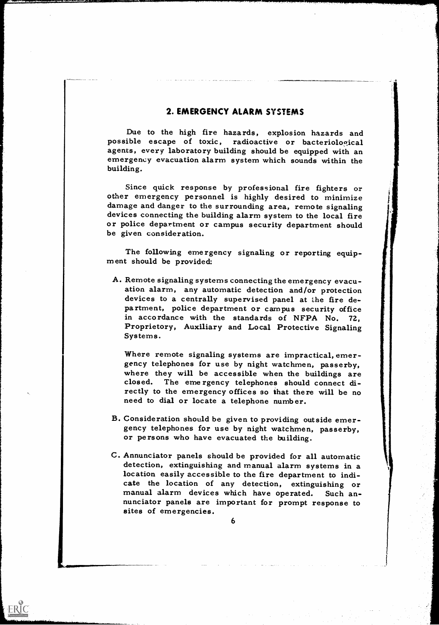# 2. EMERGENCY ALARM SYSTEMS

Due to the high fire hazards, explosion hazards and possible escape of toxic, radioactive or bacteriological agents, every laboratory building should be equipped with an emergency evacuation alarm system which sounds within the building.

Since quick response by professional fire fighters or other emergency personnel is highly desired to minimize damage and danger to the surrounding area, remote signaling devices connecting the building alarm system to the local fire or police department or campus security department should be given consideration.

The following emergency signaling or reporting equip- ment should be provided:

A. Remote signaling systems connecting the emergency evacu-<br>ation alarm, any automatic detection and/or protection<br>devices to a centrally supervised panel at the fire de-<br>partment, police department or campus security offi Proprietory, Auxiliary and Local Protective Signaling Systems.

Where remote signaling systems are impractical, emer-<br>gency telephones for use by night watchmen, passerby,<br>where they will be accessible when the buildings are closed. The eme rgency telephones should connect directly to the emergency offices so that there will be no need to dial or locate a telephone number.

- B. Consideration should be given to providing outside emergency telephones for use by night watchmen, passerby, or persons who have evacuated the building.
- C. Annunciator panels should be provided for all automatic detection, extinguishing and manual alarm systems in <sup>a</sup> location easily accessible to the fire department to indicate the location of any detection, extinguishing or manual alarm devices which have operated. Such annunciator panels are important for prompt response to sites of emergencies.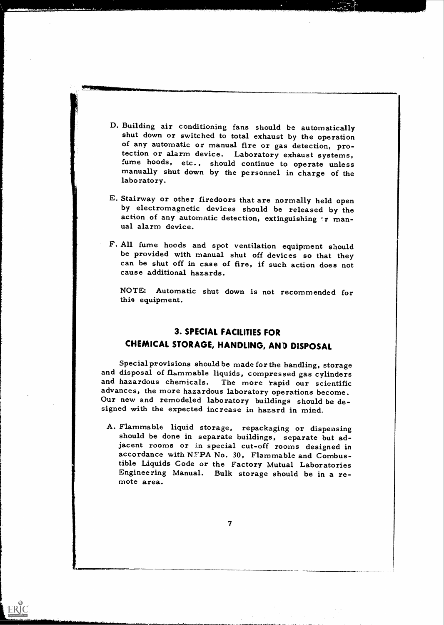- D. Building air conditioning fans should be automatically shut down or switched to total exhaust by the operation of any automatic or manual fire or gas detection, pro-<br>tection or alarm device. Laboratory exhaust systems, fume hoods, etc., should continue to operate unless manually shut down by the personnel in charge of the laboratory.
- E. Stairway or other firedoors that are normally held open by electromagnetic devices should be released by the action of any automatic detection, extinguishing  $\tau$ r man-<br>ual alarm device.
- F. All fume hoods and spot ventilation equipment should be provided with manual shut off devices so that they can be shut off in case of fire, if such action does not cause additional hazards.

NOTE: Automatic shut down is not recommended for this equipment.

# 3. SPECIAL FACILITIES FOR

# CHEMICAL STORAGE, HANDLING, AND DISPOSAL

Special provisions should be made for the handling, storage and disposal of flammable liquids, compressed gas cylinders and hazardous chemicals. The more rapid our scientific advances, the more hazardous laboratory operati Our new and remodeled laboratory buildings should be designed with the expected increase in hazard in mind.

A. Flammable liquid storage, repackaging or dispensing should be done in separate buildings, separate but adjacent rooms or in special cut-off rooms designed in accordance with  $N_{\text{F}}$ "PA No. 30, Flammable and Combustible Liquids Code or the Factory Mutual Laboratories Engineering Manual. Bulk storage should be in a remote area.

7

.11111MV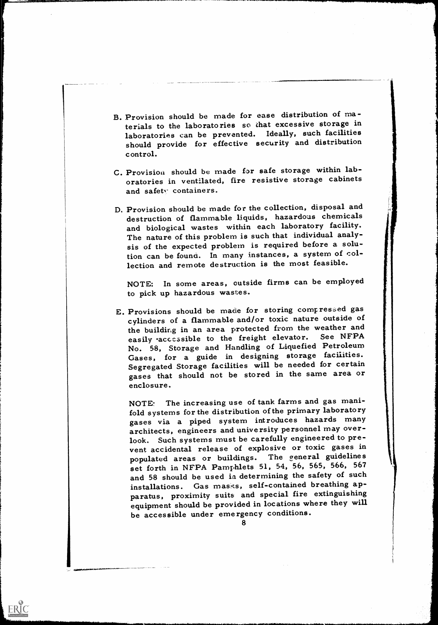- B. Provision should be made for ease distribution of materials to the laboratories so chat excessive storage in laboratories can be prevented. Ideally, such facilities should provide for effective security and distribution control.
- C. Provision should be made for safe storage within laboratories in ventilated, fire resistive storage cabinets and safety containers.
- D. Provision should be made for the collection, disposal and destruction of flammable liquids, hazardous chemicals and biological wastes within each laboratory facility. The nature of this problem is such that individual analysis of the expected problem is required before a solution can be found. In many instances, a system of collection and remote destruction is the most feasible.

NOTE: In some areas, outside firms can be employed to pick up hazardous wastes.

E. Provisions should be made for storing compressed gas cylinders of a flammable and/or toxic nature outside of the building in an area protected from the weather and<br>easily recessible to the freight elevator. See NFPA easily 'accessible to the freight elevator. No. 58, Storage and Handling of Liquefied Petroleum Gases, for a guide in designing storage facilities. Segregated Storage facilities will be needed for certain gases that should not be stored in the same area or enclosure.

NOTE: The increasing use of tank farms and gas manifold systems for the distribution of the primary laboratory gases via a piped system introduces hazards many architects, engineers and university personnel may overlook. Such systems must be carefully engineered to prevent accidental release of explosive or toxic gases in populated areas or buildings. The general guidelines set forth in NFPA Pamphlets 51, 54, 56, 565, 566, 567 and 58 should be used in determining the safety of such installations. Gas masks, self-contained breathing apparatus, proximity suits and special fire extinguishing equipment should be provided in locations where they will be accessible under emergency conditions.

**(** 

 $ERIC$ 

8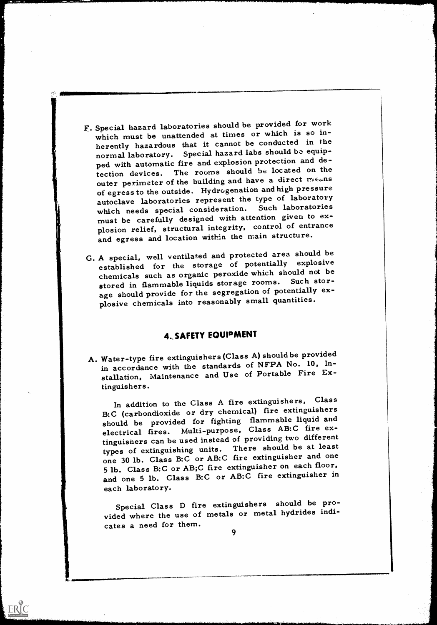- F. Special hazard laboratories should be provided for work which must be unattended at times or which is so inherently hazardous that it cannot be conducted in the normal laboratory. Special hazard labs should be equipped with automatic fire and explosion protection and de-<br>tection devices. The rooms should be located on the The rooms should be located on the outer perimeter of the building and have a direct means of egress to the outside. Hydrogenation and high pressure autoclave laboratories represent the type of laboratory which needs special consideration. must be carefully designed with attention given to explosion relief, structural integrity, control of entrance and egress and location within the main structure.
- G. A special, well ventilated and protected area should be established for the storage of potentially explosive chemicals such as organic peroxide which should not be stored in flammable liquids storage rooms. age should provide for the segregation of potentially explosive chemicals into reasonably small quantities.

# 4., SAFETY EQUIPMENT

A. Water-type fire extinguishers (Class A) should be provided in accordance with the standards of NFPA No. 10, Installation, Maintenance and Use of Portable Fire Extinguishers.

In addition to the Class A fire extinguishers, Class B:C (carbondioxide or dry chemical) fire extinguishers should be provided for fighting flammable liquid and electrical fires. Multi-purpose, Class AB:C fire extinguishers can be used instead of providing two different types of extinguishing units. There should be at least one 30 lb. Class B:C or AB:C fire extinguisher and one 5 lb. Class B:C or AB;C fire extinguisher on each floor, and one 5 lb. Class B:C or AB:C fire extinguisher in each laboratory.

Special Class D fire extinguishers should be provided where the use of metals or metal hydrides indicates a need for them.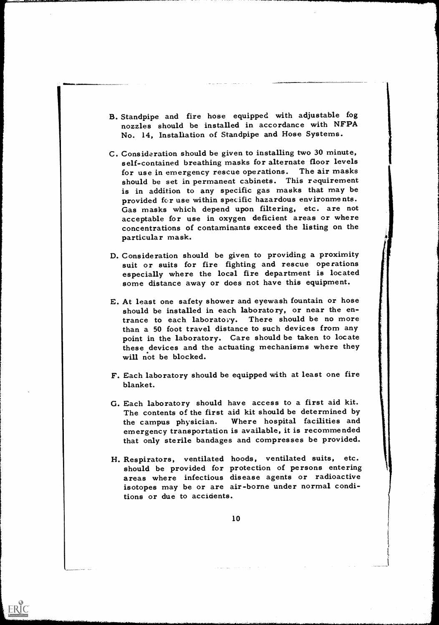- B. Standpipe and fire hose equipped with adjustable fog nozzles should be installed in accordance with NFPA No. 14, Installation of Standpipe and Hose Systems.
- C. Consideration should be given to installing two 30 minute, self-contained breathing masks for alternate floor levels<br>for use in emergency rescue operations. The air masks for use in emergency rescue operations. The air masks should be set in permanent cabinets. This requirement is in addition to any specific gas masks that may be provided for use within specific hazardous environments. Gas masks which depend upon filtering, etc. are not acceptable for use in oxygen deficient areas or where concentrations of contaminants exceed the listing on the particular mask.
- D. Consideration should be given to providing a proximity suit or suits for fire fighting and rescue operations especially where the local fire department is located some distance away or does not have this equipment.
- E. At least one safety shower and eyewash fountain or hose should be installed in each laboratory, or near the entrance to each laboratory. There should be no more than a 50 foot travel distance to such devices from any point in the laboratory. Care should be taken to locate these devices and the actuating mechanisms where they will not be blocked.
- F. Each laboratory should be equipped with at least one fire blanket.
- G. Each laboratory should have access to a first aid kit. The contents of the first aid kit should be determined by the campus physician. Where hospital facilities and emergency transportation is available, it is recommended that only sterile bandages and compresses be provided.
- H. Respirators, ventilated hoods, ventilated suits, etc. should be provided for protection of persons entering areas where infectious disease agents or radioactive isotopes may be or are air-borne under normal conditions or due to accidents.

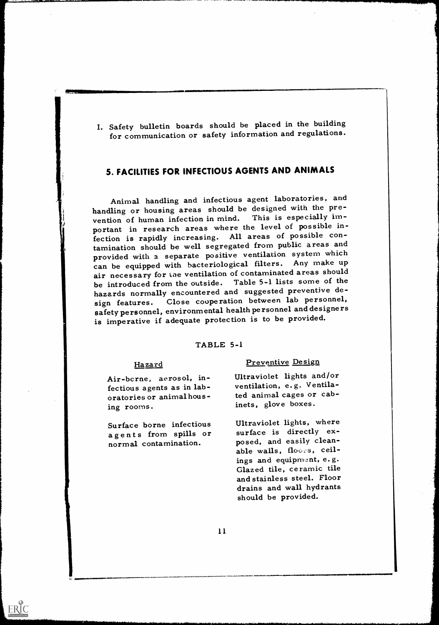I. Safety bulletin boards should be placed in the building for communication or safety information and regulations.

# 5. FACILITIES FOR INFECTIOUS AGENTS AND ANIMALS

Animal handling and infectious agent laboratories, and handling or housing areas should be designed with the pre-<br>vention of human infection in mind. This is especially imvention of human infection in mind. portant in research areas where the level of possible infection is rapidly increasing. All areas of possible contamination should be well segregated from public areas and provided with a separate positive ventilation system which can be equipped with bacteriological filters. Any make up air necessary for the ventilation of contaminated areas should be introduced from the outside. Table 5-1 lists some of the hazards normally encountered and suggested preventive design features. Close cooperation between lab personnel, safety personnel, environm ental health personnel and designers is imperative if adequate protection is to be provided.

# TABLE 5-1

# Hazard

Air-borne, aerosol, infectious agents as in laboratories or animal hous ing rooms.

Surface borne infectious agents from spills or normal contamination.

ERIC

#### Preventive Design

Ultraviolet lights and/or ventilation, e.g. Ventilated animal cages or cabinets, glove boxes.

Ultraviolet lights, where surface is directly exposed, and easily clean-<br>able walls, floors, ceilings and equipment, e.g.<br>Glazed tile, ceramic tile and stainless steel. Floor drains and wall hydrants should be provided.

11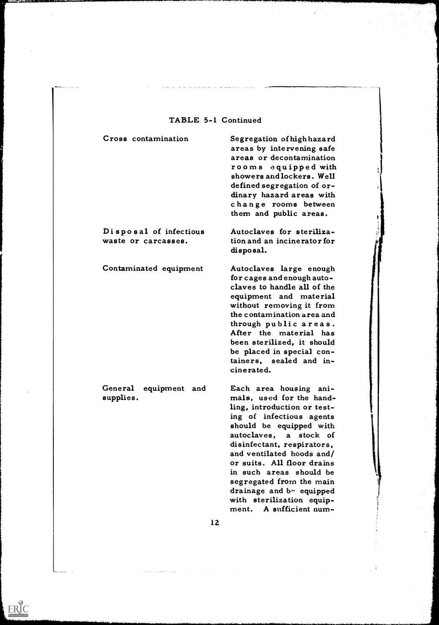#### TABLE 5-1 Continued

Cross contamination

Di spo s al of infectious waste or carcasses.

Contaminated equipment

General equipment and supplies.

ERIC

Segregation of high hazard areas by intervening safe areas or decontamination rooms equipped with showers and lockers. Well defined segregation of or- dinary hazard areas with change rooms between them and public areas.

Autoclaves for sterilization and an incinerator for di spo sal.

Autoclaves large enough for cages and enough autoclaves to handle all of the equipment and material without removing it from the contamination area and through public areas. After the material has been sterilized, it should be placed in special containers, sealed and incinerated.

Each area housing animals, used for the handling, introduction or testing of infectious agents should be equipped with autoclaves, a stock of disinfectant, respirators, and ventilated hoods and/ or suits. All floor drains in such areas should be segregated from the main<br>drainage and  $b$ - equipped<br>with sterilization equipment. A sufficient num-

12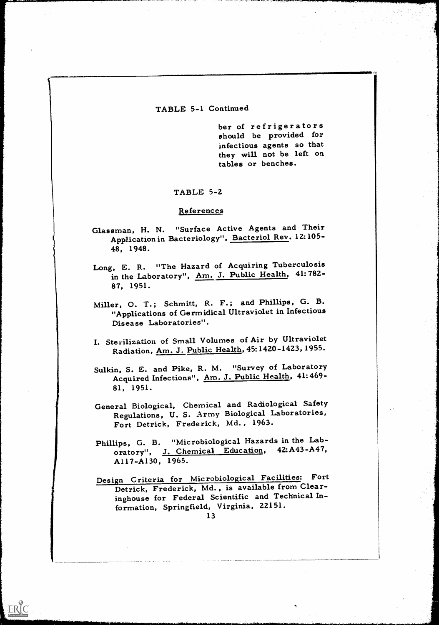## TABLE 5-1 Continued

ber of refrigerators should be provided for infectious agents so that they will not be left on tables or benches.

#### TABLE 5-2

#### References

- Glassman, H. N. "Surface Active Agents and Their Application in Bacteriology", Bacteriol Rev. 12:105-48, 1948.
- Long, E. R. "The Hazard of Acquiring Tuberculosis in the Laboratory", Am. J. Public Health, 41:782-87, 1951.
- Miller, O. T.; Schmitt, R. F.; and Phillips, G. B. "Applications of Germidical Ultraviolet in Infectious Disease Laboratories".
- I. Sterilization of Small Volumes of Air by Ultraviolet Radiation, Am. J. Public Health, 45:1420 -1423, 1955.

Sulkin, S. E. and Pike, R. M. "Survey of Laboratory Acquired Infections", Am. J. Public Health, 41:469-81, 1951.

- General Biological, Chemical and Radiological Safety Regulations, U. S. Army- Biological Laboratories, Fort Detrick, Frederick, Md., 1963.
- Phillips, G. B. "Microbiological Hazards in the Laboratory", J. Chemical Education, 42:A43-A47, A117-A130, 1965.

Design Criteria for Microbiological Facilities: Fort Detrick, Frederick, Md. , is available from Clearinghouse for Federal Scientific and Technical Information, Springfield, Virginia, 22151.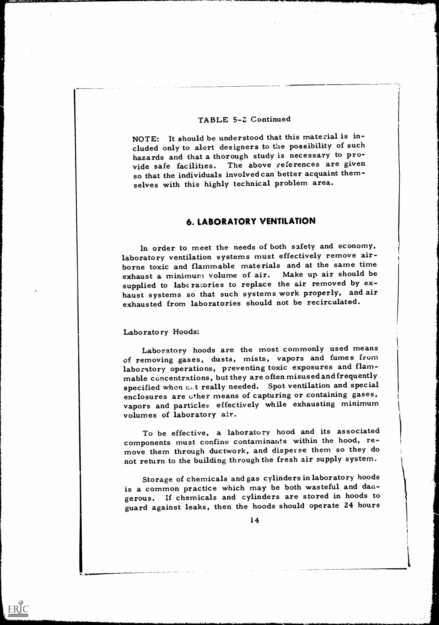#### TABLE 5-2 Continued

NOTE: It should be understood that this material is included only to alert designers to tie possibility of such hazards and that a thorough study is necessary to provide safe facilities. The above references are given so that the individuals involved can better acquaint themselves with this highly technical problem area.

## 6. LABORATORY VENTILATION

In order to meet the needs of both safety and economy, laboratory ventilation systems must effectively remove airborne toxic and flammable materials and at the same time<br>exhaust a minimum volume of air. Make up air should be exhaust a minimum volume of air. supplied to laberatories to replace the air removed by exhaust systems so that such systems work properly, and air exhausted from laboratories should not be recirculated.

#### Laboratory Hoods:

ERIC

Laboratory hoods are the most commonly used means of removing gases, dusts, mists, vapors and fumes from laboratory operations, preventing toxic exposures and flammable concentrations, but they are often misused and frequently specified when not really needed. Spot ventilation and special enclosures are other means of capturing or containing gases, vapors and particles effectively while exhausting minimum volumes of laboratory air.

To be effective, a laboratory hood and its associated components must confine contaminants within the hood, remove them through ductwork, and disperse them so they do not return to the building through the fresh air supply system.

Storage of chemicals and gas cylinders in laboratory hoods is a common practice which may be both wasteful and dangerous. If chemicals and cylinders are stored in hoods to guard against leaks, then the hoods should operate 24 hours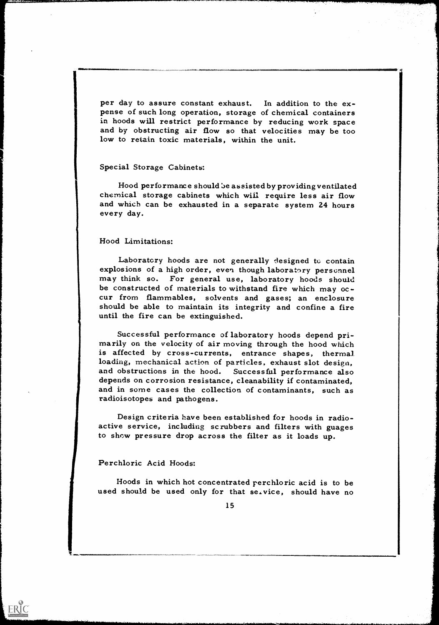per day to assure constant exhaust. In addition to the expense of such long operation, storage of chemical containers in hoods will restrict performance by reducing work space and by obstructing air flow so that velocities may be too low to retain toxic materials, within the unit.

#### Special Storage Cabinets:

Hood performance should be assisted by providing ventilated chemical storage cabinets which will require less air flow and which can be exhausted in a separate system 24 hours every day.

#### Hood Limitations:

Laboratory hoods are not generally designed to contain explosions of a high order, even though laboratory personnel may think so. For general use, laboratory hoods should be constructed of materials to withstand fire which may oc-<br>cur from flammables, solvents and gases; an enclosure should be able to maintain its integrity and confine a fire until the fire can be extinguished.

Successful performance of laboratory hoods depend pri- marily on the velocity of air moving through the hood which is affected by cross-currents, entrance shapes, thermal loading, mechanical action of particles, exhaust slot design, and obstructions in the hood. Successful performance also depends on corrosion resistance, cleanability if contaminated, and in some cases the collection of contaminants, such as radioisotopes and pathogens.

Design criteria have been established for hoods in radio- active service, including scrubbers and filters with guages to show pressure drop across the filter as it loads up.

#### Perchloric Acid Hoods:

ERIC

Hoods in which hot concentrated perchloric acid is to be used should be used only for that service, should have no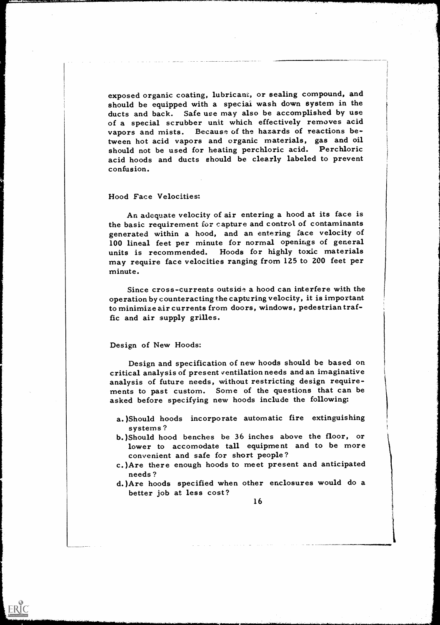exposed organic coating, lubricant, or sealing compound, and should be equipped with a special wash down system in the ducts and back. Safe use may also be accomplished by use of a special scrubber unit which effectively removes acid vapors and mists. Because of the hazards of reactions between hot acid vapors and organic materials, gas and oil should not be used for heating perchloric acid. Perchloric acid hoods and ducts should be clearly labeled to prevent confusion.

#### Hood Face Velocities:

An adequate velocity of air entering a hood at its face is the basic requirement for capture and control of contaminants generated within a hood, and an entering face velocity of 100 lineal feet per minute for normal openings of general units is recommended. Hoods for highly toxic materials may require face velocities ranging from 125 to 200 feet per minute.

Since cross-currents outside a hood can interfere with the operation by counteracting the capturing velocity, it is important to minimize air currents from doors, windows, pedestrian traffic and air supply grilles.

#### Design of New Hoods:

Design and specification of new hoods should be based on critical analysis of present ventilation needs and an imaginative analysis of future needs, without restricting design requirements to past custom. Some of the questions that can be asked before specifying new hoods include the following:

- a. )Should hoods incorporate automatic fire extinguishing
- systems?<br>b.)Should hood benches be 36 inches above the floor, or lower to accomodate tall equipment and to be more convenient and safe for short people?
- c. )Are there enough hoods to meet present and anticipated needs ?
- d. )Are hoods specified when other enclosures would do a better job at less cost?

16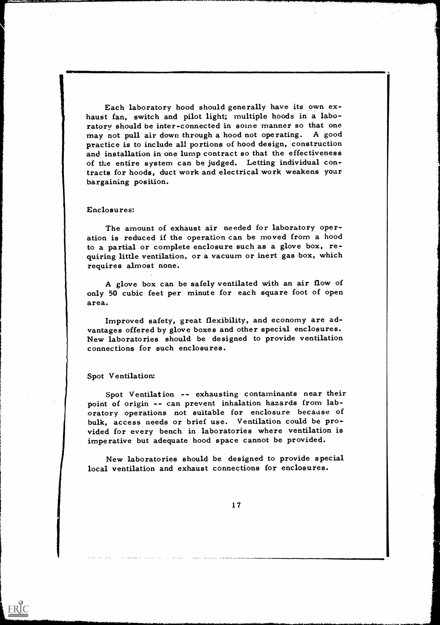Each laboratory hood should generally have its own ex- haust fan, switch and pilot light; multiple hoods in a laboratory should be inter-connected in some manner so that one may not pull air down through a hood not operating. A good practice is to include all portions of hood design, construction of the entire system can be judged. Letting individual contracts for hoods, duct work and electrical work weakens your bargaining position.

#### Enclosures:

The amount of exhaust air needed for laboratory oper- ation is reduced if the operation can be moved from a hood to a partial or complete enclosure such as a glove box, requiring little ventilation, or a vacuum or inert gas box, which requires almost none.

A glove box can be safely ventilated with an air flow of only 50 cubic feet per minute for each square foot of open area.

Improved safety, great flexibility, and economy are advantages offered by glove boxes and other special enclosures. New laboratories should be designed to provide ventilation connections for such enclosures.

#### Spot Ventilation:

ERIC

Spot Ventilation -- exhausting contaminants near their point of origin -- can prevent inhalation hazards from lab-<br>oratory operations not suitable for enclosure because of bulk, access needs or brief use. Ventilation could be provided for every bench in laboratories where ventilation is imperative but adequate hood space cannot be provided.

New laboratories should be designed to provide special local ventilation and exhaust connections for enclosures.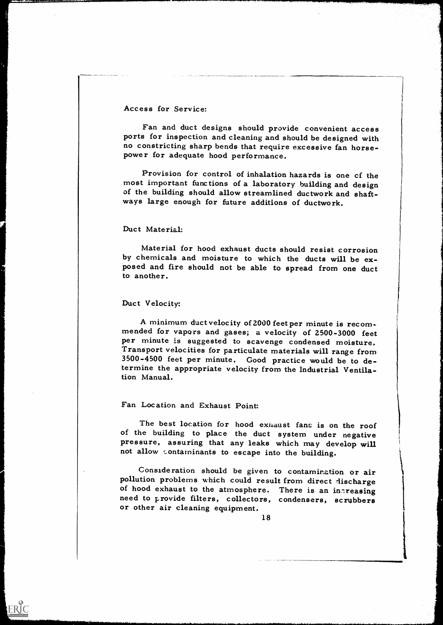#### Access for Service:

Fan and duct designs should provide convenient access ports for inspection and cleaning and should be designed with no constricting sharp bends that require excessive fan horse-<br>power for adequate hood performance.

Provision for control of inhalation hazards is one of the most important functions of a laboratory building and design<br>of the building should allow streamlined ductwork and shaftways large enough for future additions of ductwork. most important functions of a laboratory building and design

#### Duct Material:

Material for hood exhaust ducts should resist corrosion by chemicals and moisture to which the ducts will be exposed and fire should not be able to spread from one duct to another.

#### Duct Velocity:

ERIC

A minimum duct velocity of 2000 feet per minute is recom-<br>mended for vapors and gases; a velocity of 2500-3000 feet<br>per minute is suggested to scavenge condensed moisture.<br>Transport velocities for particulate materials wil 3500-4500 feet per minute. Good practice would be to determine the appropriate velocity from the Industrial Ventilation Manual.

## Fan Location and Exhaust Point:

The best location for hood exhaust fans is on the roof of the building to place the duct system under negative pressure, assuring that any leaks which may develop will not allow contaminants to escape into the building.

Consideration should be given to contamination or air pollution problems which could result from direct discharge of hood exhaust to the atmosphere. There is an increasing need to provide filters, collectors, condensers, scrubbers or other air cleaning equipment.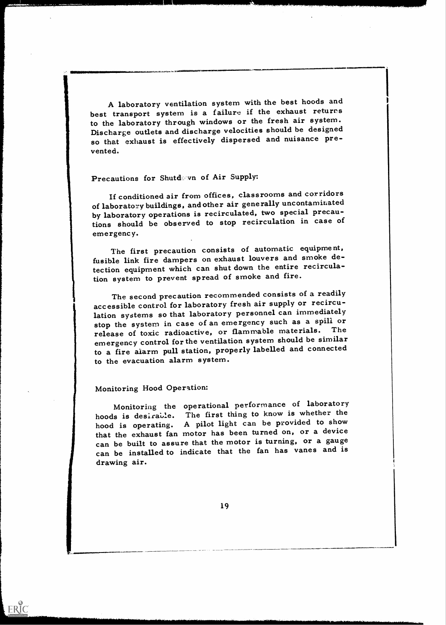A laboratory ventilation system with the best hoods and best transport system is a failure if the exhaust returns to the laboratory through windows or the fresh air system. Discharge outlets and discharge velocities should be designed so that exhaust is effectively dispersed and nuisance prevented.

# Precautions for Shutdwwn of Air Supply:

alista ja maine ja kilometti maimmomentti ja talvinnyn ja joi. Januargy ja maasta ja maasta.<br>Maine maailmasta ja kilometti ja kilometti ja kilometti ja kilometti.

If conditioned air from offices, classrooms and corridors of laboratory buildings, and other air generally uncontaminated by laboratory operations is recirculated, two special precautions should be observed to stop recirculation in case of emergency.

The first precaution consists of automatic equipment, fusible link fire dampers on exhaust louvers and smoke detection equipment which can shut down the entire recirculation system to prevent spread of smoke and fire.

The second precaution recommended consists of a readily accessible control for laboratory fresh air supply or recirculation systems so that laboratory personnel can immediately stop the system in case of an emergency such as a spill or release of toxic radioactive, or flammable materials. emergency control for the ventilation system should be similar to a fire alarm pull station, properly labelled and connected to the evacuation alarm system.

### Monitoring Hood Operation:

ERIC

Monitoring the operational performance of laboratory hoods is desirable. The first thing to know is whether the hood is operating. A pilot light can be provided to show that the exhaust fan motor has been turned on, or a device can be built to assure that the motor is turning, or a gauge can be installed to indicate that the fan has vanes and is drawing air.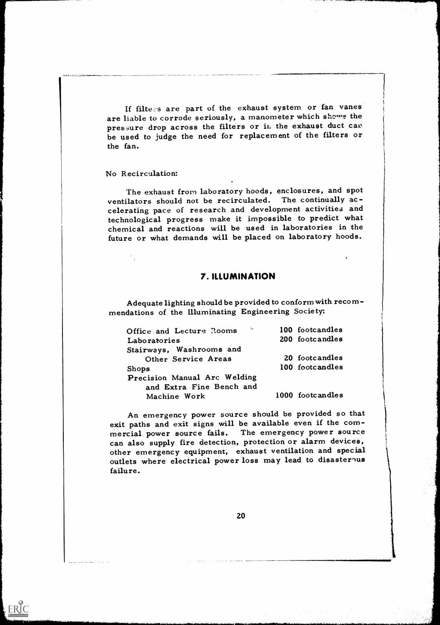If filters are part of the exhaust system or fan vanes are liable to corrode seriously, a manometer which shows the pressure drop across the filters or in the exhaust duct can be used to judge the need for replacement of the filters or the fan.

## No Recirculation:

ERIC

The exhaust from laboratory hoods, enclosures, and spot ilators should not be recirculated. The continually acventilators should not be recirculated. celerating pace of research and development activities and technological progress make it impossible to predict what chemical and reactions will be used in laboratories in the future or what demands will be placed on laboratory hoods.

## 7. ILLUMINATION

Adequate lighting should be provided to conform with recommendations of the Illuminating Engineering Society:

| حە<br>Office and Lecture Rooms | 100 footcandles  |
|--------------------------------|------------------|
| Laboratories                   | 200 footcandles  |
| Stairways, Washrooms and       |                  |
| Other Service Areas            | 20 footcandles   |
| Shops                          | 100 footcandles  |
| Precision Manual Arc Welding   |                  |
| and Extra Fine Bench and       |                  |
| Machine Work                   | 1000 footcandles |

An emergency power source should be provided so that exit paths and exit signs will be available even if the com-<br>mercial power source fails. The emergency power source mercial power source fails. can also supply fire detection, protection or alarm devices, other emergency equipment, exhaust ventilation and special outlets where electrical power loss may lead to disasterous failure.

20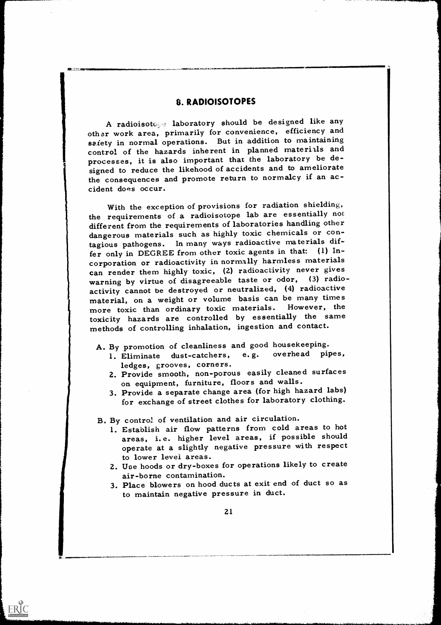## B. RADIOISOTOPES

riffloarrieftwINVOI=NOIIIMINMINIMINISIS

1,-.171.1.11.1M111/1.11,

A radioisotope laboratory should be designed like any other work area, primarily for convenience, efficiency and safety in normal operations. But in addition to maintaining control of the hazards inherent in planned materials and processes, it is also important that the laboratory be designed to reduce the likehood of accidents and to ameliorate the consequences and promote return to normalcy if an accident does occur.

With the exception of provisions for radiation shielding, the requirements of a radioisotope lab are essentially not different from the requirements of laboratories handling other dangerous materials such as highly toxic chemicals or contagious pathogens. In many ways radioactive materials differ only in DEGREE from other toxic agents in that: (I) Incorporation or radioactivity in normally harmless materials can render them highly toxic, (2) radioactivity never gives warning by virtue of disagreeable taste or odor, (3) radioactivity cannot be destroyed or neutralized, (4) radioactive material, on a weight or volume basis can be many times<br>more toxic than ordinary toxic materials. However, the more toxic than ordinary toxic materials. toxicity hazards are controlled by essentially the same methods of controlling inhalation, ingestion and contact.

- A. By promotion of cleanliness and good housekeeping.<br>1 Eliminate dust-catchers, e.g. overhead pipes,
	- 1. Eliminate dust-catchers,<br>ledges, grooves, corners.
	- 2. Provide smooth, non-porous easily cleaned surfaces on equipment, furniture, floors and walls.
	- 3. Provide a separate change area (for high hazard labs) for exchange of street clothes for laboratory clothing.
- B. By control of ventilation and air circulation.

- 1. Establish air flow patterns from cold areas to hot areas, i.e. higher level areas, if possible should operate at a slightly negative pressure with respect to lower level areas.
- 2. Use hoods or dry-boxes for operations likely to create air-borne contamination.
- 3. Place blowers on hood ducts at exit end of duct so as to maintain negative pressure in duct.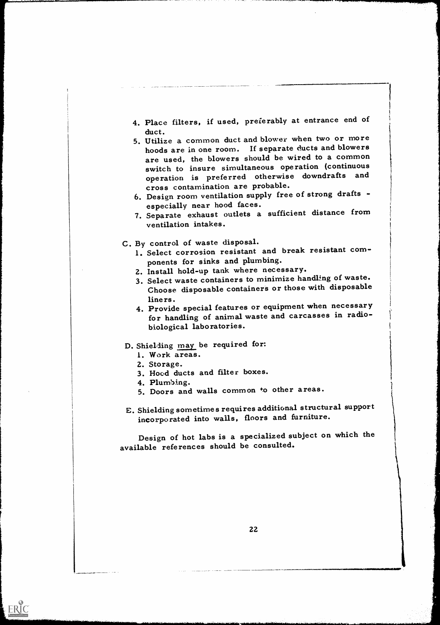- 4. Place filters, if used, preferably at entrance end of duct.
- 5. Utilize a common duct and blower when two or more hoods are in one room. If separate ducts and blowers are used, the blowers should be wired to a common switch to insure simultaneous operation (continuous operation is preferred otherwise downdrafts and cross contamination are probable.
- 6. Design room ventilation supply free of strong drafts -
- 7. Separate exhaust outlets a sufficient distance from ventilation intakes.
- C. By control of waste disposal.
	- 1. Select corrosion resistant and break resistant components for sinks and plumbing.
	- 2. Install hold-up tank where necessary.
	- 3. Select waste containers to minimize handling of waste.
	- Choose disposable containers or those with disposable liners.
	- 4. Provide special features or equipment when necessary for handling of animal waste and carcasses in radiobiological laboratories.

# D. Shielding may be required for:

- 1. Work areas.<br>2. Storage.
- 

ERIC

- 3. Hood ducts and filter boxes.
- 
- 4. Plumbing.<br>5. Doors and walls common to other areas.
- E. Shielding sometime s requires additional structural support incorporated into walls, floors and furniture.

Design of hot labs is a specialized subject on which the available references should be consulted.

'Ilialikailthil<del>shifiatalliameamagehai</del>itakthiganista kontrollation kan katharin kan katharin kan katharin kan ka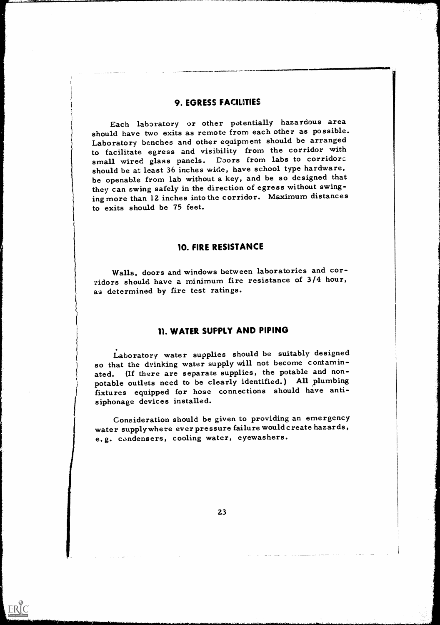## 9. EGRESS FACILITIES

Each laboratory or other potentially hazardous area should have two exits as remote from each other as possible. Laboratory benches and other equipment should be arranged to facilitate egress and visibility from the corridor with small wired glass panels. Doors from labs to corridors should be at least 36 inches wide, have school type hardware, be openable from lab without a key, and be so designed that they can swing safely in the direction of egress without swinging more than 12 inches into the corridor. Maximum distances to exits should be 75 feet.

#### 10. FIRE RESISTANCE

Walls, doors and windows between laboratories and corridors should have a minimum fire resistance of 3/4 hour, as determined by fire test ratings.

# 11. WATER SUPPLY AND PIPING

Laboratory water supplies should be suitably designed so that the drinking water supply will not become contaminated. (If there are separate supplies, the potable and nonpotable outlets need to be clearly identified.) All plumbing fixtures equipped for hose connections should have antisiphonage devices installed.

Consideration should be given to providing an emergency water supply where ever pressure failure would create hazards, e.g. condensers, cooling water, eyewashers.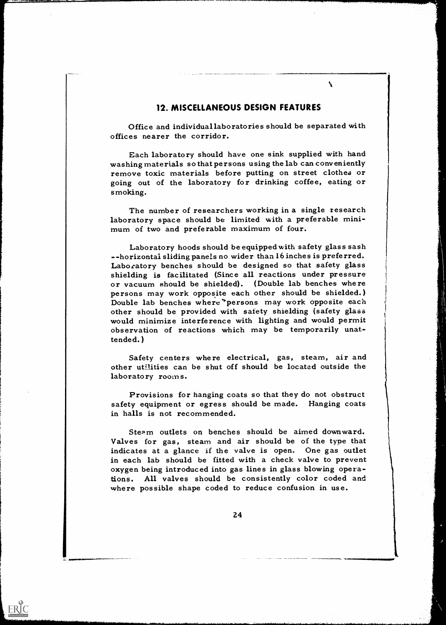# 12. MISCELLANEOUS DESIGN FEATURES

¥

Office and individuallaboratories should be separated with offices nearer the corridor.

Each laboratory should have one sink supplied with hand washing materials so that persons using the lab can conveniently remove toxic materials before putting on street clothes or going out of the laboratory for drinking coffee, eating or smoking.

The number of researchers working in a single research laboratory space should be limited with a preferable minimum of two and preferable maximum of four.

Laboratory hoods should be equipped with safety glass sash --horizontal sliding panels no wider than 16 inches is preferred. Laboratory benches should be designed so that safety glass shielding is facilitated (Since all reactions under pressure or vacuum should be shielded). (Double lab benches where persons may work opposite each other should be shielded.) Double lab benches where "persons may work opposite each other should be provided with safety shielding (safety glass would minimize interference with lighting and would permit observation of reactions which may be tempora tended.)

Safety centers where electrical, gas, steam, air and other utilities can be shut off should be located outside the laboratory rooms.

Provisions for hanging coats so that they do not obstruct safety equipment or egress should be made. Hanging coats in halls is not recommended.

Steam outlets on benches should be aimed downward. Valves for gas, steam and air should be of the type that indicates at a glance if the valve is open. One gas outlet in each lab should be fitted with a check valve to prevent oxygen being introduced into gas lines in glass blowing operations. All valves should be consistently color coded and where possible shape coded to reduce confusion in use.

24